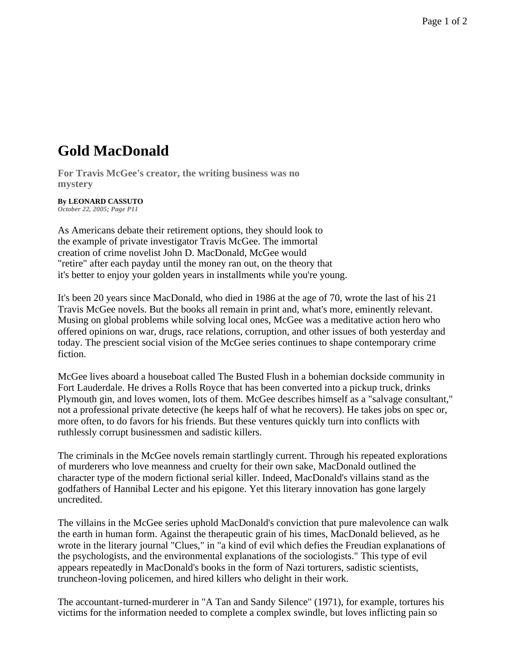## **Gold MacDonald**

**For Travis McGee's creator, the writing business was no mystery**

## **By LEONARD CASSUTO**

*October 22, 2005; Page P11*

As Americans debate their retirement options, they should look to the example of private investigator Travis McGee. The immortal creation of crime novelist John D. MacDonald, McGee would "retire" after each payday until the money ran out, on the theory that it's better to enjoy your golden years in installments while you're young.

It's been 20 years since MacDonald, who died in 1986 at the age of 70, wrote the last of his 21 Travis McGee novels. But the books all remain in print and, what's more, eminently relevant. Musing on global problems while solving local ones, McGee was a meditative action hero who offered opinions on war, drugs, race relations, corruption, and other issues of both yesterday and today. The prescient social vision of the McGee series continues to shape contemporary crime fiction.

McGee lives aboard a houseboat called The Busted Flush in a bohemian dockside community in Fort Lauderdale. He drives a Rolls Royce that has been converted into a pickup truck, drinks Plymouth gin, and loves women, lots of them. McGee describes himself as a "salvage consultant," not a professional private detective (he keeps half of what he recovers). He takes jobs on spec or, more often, to do favors for his friends. But these ventures quickly turn into conflicts with ruthlessly corrupt businessmen and sadistic killers.

The criminals in the McGee novels remain startlingly current. Through his repeated explorations of murderers who love meanness and cruelty for their own sake, MacDonald outlined the character type of the modern fictional serial killer. Indeed, MacDonald's villains stand as the godfathers of Hannibal Lecter and his epigone. Yet this literary innovation has gone largely uncredited.

The villains in the McGee series uphold MacDonald's conviction that pure malevolence can walk the earth in human form. Against the therapeutic grain of his times, MacDonald believed, as he wrote in the literary journal "Clues," in "a kind of evil which defies the Freudian explanations of the psychologists, and the environmental explanations of the sociologists." This type of evil appears repeatedly in MacDonald's books in the form of Nazi torturers, sadistic scientists, truncheon-loving policemen, and hired killers who delight in their work.

The accountant-turned-murderer in "A Tan and Sandy Silence" (1971), for example, tortures his victims for the information needed to complete a complex swindle, but loves inflicting pain so